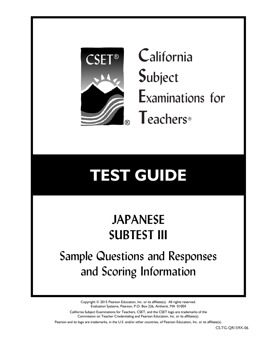

**C**alifornia **S**ubject **E**xaminations for **T**eachers®

# **TEST GUIDE**

## **JAPANESE SUBTEST III**

Sample Questions and Responses and Scoring Information

> Copyright © 2015 Pearson Education, Inc. or its affiliate(s). All rights reserved. Evaluation Systems, Pearson, P.O. Box 226, Amherst, MA 01004

California Subject Examinations for Teachers, CSET, and the CSET logo are trademarks of the Commission on Teacher Credentialing and Pearson Education, Inc. or its affiliate(s).

Pearson and its logo are trademarks, in the U.S. and/or other countries, of Pearson Education, Inc. or its affiliate(s).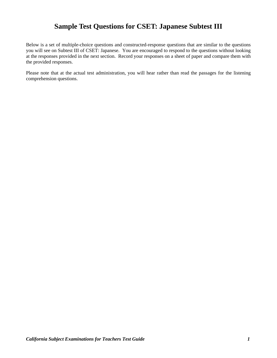## **Sample Test Questions for CSET: Japanese Subtest III**

Below is a set of multiple-choice questions and constructed-response questions that are similar to the questions you will see on Subtest III of CSET: Japanese. You are encouraged to respond to the questions without looking at the responses provided in the next section. Record your responses on a sheet of paper and compare them with the provided responses.

Please note that at the actual test administration, you will hear rather than read the passages for the listening comprehension questions.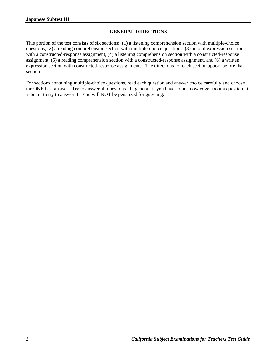## **GENERAL DIRECTIONS**

This portion of the test consists of six sections: (1) a listening comprehension section with multiple-choice questions, (2) a reading comprehension section with multiple-choice questions, (3) an oral expression section with a constructed-response assignment, (4) a listening comprehension section with a constructed-response assignment, (5) a reading comprehension section with a constructed-response assignment, and (6) a written expression section with constructed-response assignments. The directions for each section appear before that section.

For sections containing multiple-choice questions, read each question and answer choice carefully and choose the ONE best answer. Try to answer all questions. In general, if you have some knowledge about a question, it is better to try to answer it. You will NOT be penalized for guessing.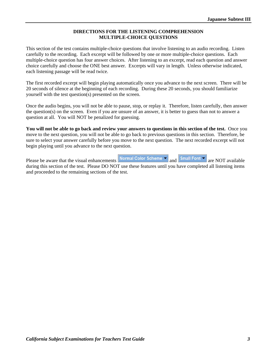## **DIRECTIONS FOR THE LISTENING COMPREHENSION MULTIPLE-CHOICE QUESTIONS**

This section of the test contains multiple-choice questions that involve listening to an audio recording. Listen carefully to the recording. Each excerpt will be followed by one or more multiple-choice questions. Each multiple-choice question has four answer choices. After listening to an excerpt, read each question and answer choice carefully and choose the ONE best answer. Excerpts will vary in length. Unless otherwise indicated, each listening passage will be read twice.

The first recorded excerpt will begin playing automatically once you advance to the next screen. There will be 20 seconds of silence at the beginning of each recording. During these 20 seconds, you should familiarize yourself with the test question(s) presented on the screen.

Once the audio begins, you will not be able to pause, stop, or replay it. Therefore, listen carefully, then answer the question(s) on the screen. Even if you are unsure of an answer, it is better to guess than not to answer a question at all. You will NOT be penalized for guessing.

**You will not be able to go back and review your answers to questions in this section of the test.** Once you move to the next question, you will not be able to go back to previous questions in this section. Therefore, be sure to select your answer carefully before you move to the next question. The next recorded excerpt will not begin playing until you advance to the next question.

Please be aware that the visual enhancements Normal Color Scheme  $\rightarrow$  and  $\overline{\phantom{a}}$  Small Font  $\overline{\phantom{a}}$  are NOT available during this section of the test. Please DO NOT use these features until you have completed all listening items and proceeded to the remaining sections of the test.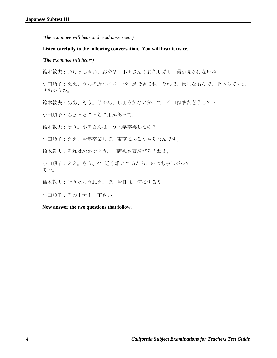#### **Listen carefully to the following conversation. You will hear it twice.**

 *(The examinee will hear:)* 

鈴木敦夫:いらっしゃい。おや? 小田さん!お久しぶり。最近見かけないね。

小田順子:ええ、うちの近くにスーパーができてね。それで、便利なもんで、そっちですま せちゃうの。

鈴木敦夫:ああ、そう。じゃあ、しょうがないか。で、今日はまたどうして?

小田順子:ちょっとこっちに用があって。

鈴木敦夫:そう。小田さんはもう大学卒業したの?

小田順子:ええ、今年卒業して、東京に戻るつもりなんです。

鈴木敦夫:それはおめでとう。ご両親も喜ぶだろうねえ。

小田順子:ええ。もう、4年近く離 れてるから、いつも寂しがって て…。

鈴木敦夫:そうだろうねえ。で、今日は、何にする?

小田順子:そのトマト、下さい。

**Now answer the two questions that follow.**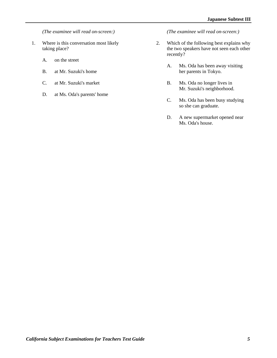*(The examinee will read on-screen:)* 

- 1. Where is this conversation most likely taking place?
	- A. on the street
	- B. at Mr. Suzuki's home
	- C. at Mr. Suzuki's market
	- D. at Ms. Oda's parents' home

 *(The examinee will read on-screen:)* 

- 2. Which of the following best explains why the two speakers have not seen each other recently?
	- A. Ms. Oda has been away visiting her parents in Tokyo.
	- B. Ms. Oda no longer lives in Mr. Suzuki's neighborhood.
	- C. Ms. Oda has been busy studying so she can graduate.
	- D. A new supermarket opened near Ms. Oda's house.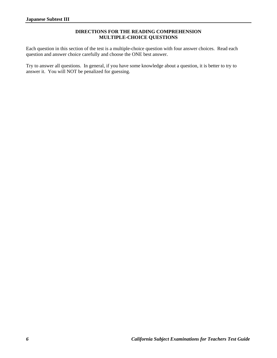## **DIRECTIONS FOR THE READING COMPREHENSION MULTIPLE-CHOICE QUESTIONS**

Each question in this section of the test is a multiple-choice question with four answer choices. Read each question and answer choice carefully and choose the ONE best answer.

Try to answer all questions. In general, if you have some knowledge about a question, it is better to try to answer it. You will NOT be penalized for guessing.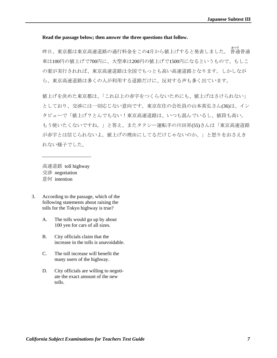## **Read the passage below; then answer the three questions that follow.**

昨日、東京都は東京高速道路の通行料金をこの4月から値上げすると発表しました。 ふつう 普通普通 車は100円の値上げで700円に、大型車は200円の値上げで1500円になるというもので、もしこ の案が実行されれば、東京高速道路は全国でもっとも高い高速道路となります。しかしなが ら、東京高速道路は多くの人が利用する道路だけに、反対する声も多く出ています。

値上げを決めた東京都は、「これ以上の赤字をつくらないためにも、値上げはさけられない」 としており、交渉には一切応じない意向です。東京在住の会社員の山本英弘さん(36)は、イン タビューで「値上げ?とんでもない!東京高速道路は、いつも混んでいるし、値段も高い。 もう使いたくないですね。」と答え、またタクシー運転手の川田昇(55)さんは「東京高速道路 が赤字とは信じられないよ。値上げの理由にしてるだけじゃないのか。」と怒りをおさえき れない様子でした。

高速道路 toll highway 交渉 negotiation 意何 intention

- 3. According to the passage, which of the following statements about raising the tolls for the Tokyo highway is true?
	- A. The tolls would go up by about 100 yen for cars of all sizes.
	- B. City officials claim that the increase in the tolls is unavoidable.
	- C. The toll increase will benefit the many users of the highway.
	- D. City officials are willing to negotiate the exact amount of the new tolls.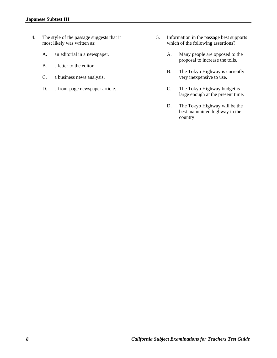- 4. The style of the passage suggests that it most likely was written as:
	- A. an editorial in a newspaper.
	- B. a letter to the editor.
	- C. a business news analysis.
	- D. a front-page newspaper article.
- 5. Information in the passage best supports which of the following assertions?
	- A. Many people are opposed to the proposal to increase the tolls.
	- B. The Tokyo Highway is currently very inexpensive to use.
	- C. The Tokyo Highway budget is large enough at the present time.
	- D. The Tokyo Highway will be the best maintained highway in the country.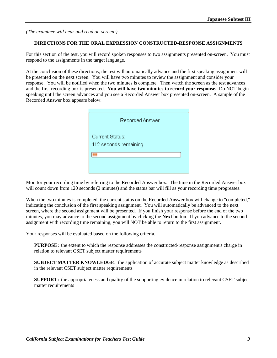#### **DIRECTIONS FOR THE ORAL EXPRESSION CONSTRUCTED-RESPONSE ASSIGNMENTS**

For this section of the test, you will record spoken responses to two assignments presented on-screen. You must respond to the assignments in the target language.

At the conclusion of these directions, the test will automatically advance and the first speaking assignment will be presented on the next screen. You will have two minutes to review the assignment and consider your response. You will be notified when the two minutes is complete. Then watch the screen as the test advances and the first recording box is presented. **You will have two minutes to record your response.** Do NOT begin speaking until the screen advances and you see a Recorded Answer box presented on-screen. A sample of the Recorded Answer box appears below.

| Recorded Answer                           |
|-------------------------------------------|
| Current Status:<br>112 seconds remaining. |
|                                           |

Monitor your recording time by referring to the Recorded Answer box. The time in the Recorded Answer box will count down from 120 seconds (2 minutes) and the status bar will fill as your recording time progresses.

When the two minutes is completed, the current status on the Recorded Answer box will change to "completed," indicating the conclusion of the first speaking assignment. You will automatically be advanced to the next screen, where the second assignment will be presented. If you finish your response before the end of the two minutes, you may advance to the second assignment by clicking the **Next** button. If you advance to the second assignment with recording time remaining, you will NOT be able to return to the first assignment.

Your responses will be evaluated based on the following criteria.

**PURPOSE:** the extent to which the response addresses the constructed-response assignment's charge in relation to relevant CSET subject matter requirements

**SUBJECT MATTER KNOWLEDGE:** the application of accurate subject matter knowledge as described in the relevant CSET subject matter requirements

**SUPPORT:** the appropriateness and quality of the supporting evidence in relation to relevant CSET subject matter requirements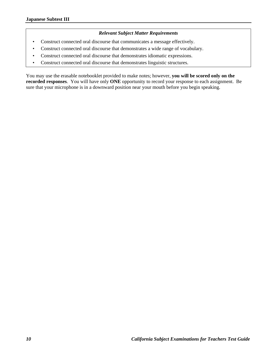## *Relevant Subject Matter Requirements*

- Construct connected oral discourse that communicates a message effectively.
- Construct connected oral discourse that demonstrates a wide range of vocabulary.
- Construct connected oral discourse that demonstrates idiomatic expressions.
- Construct connected oral discourse that demonstrates linguistic structures.

You may use the erasable notebooklet provided to make notes; however, **you will be scored only on the recorded responses**.You will have only **ONE** opportunity to record your response to each assignment. Be sure that your microphone is in a downward position near your mouth before you begin speaking.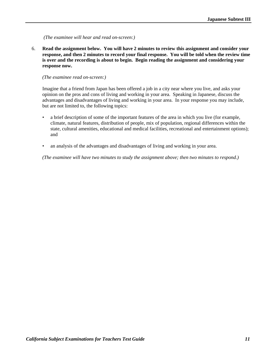6. **Read the assignment below. You will have 2 minutes to review this assignment and consider your response, and then 2 minutes to record your final response. You will be told when the review time is over and the recording is about to begin. Begin reading the assignment and considering your response now.** 

#### *(The examinee read on-screen:)*

Imagine that a friend from Japan has been offered a job in a city near where you live, and asks your opinion on the pros and cons of living and working in your area. Speaking in Japanese, discuss the advantages and disadvantages of living and working in your area. In your response you may include, but are not limited to, the following topics:

- a brief description of some of the important features of the area in which you live (for example, climate, natural features, distribution of people, mix of population, regional differences within the state, cultural amenities, educational and medical facilities, recreational and entertainment options); and
- an analysis of the advantages and disadvantages of living and working in your area.

 *(The examinee will have two minutes to study the assignment above; then two minutes to respond.)*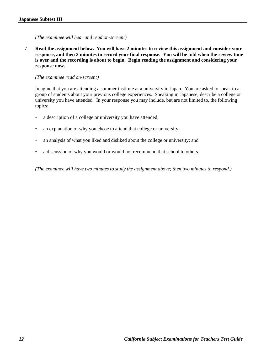7. **Read the assignment below. You will have 2 minutes to review this assignment and consider your response, and then 2 minutes to record your final response. You will be told when the review time is over and the recording is about to begin. Begin reading the assignment and considering your response now.** 

*(The examinee read on-screen:)*

Imagine that you are attending a summer institute at a university in Japan. You are asked to speak to a group of students about your previous college experiences. Speaking in Japanese, describe a college or university you have attended. In your response you may include, but are not limited to, the following topics:

- a description of a college or university you have attended;
- an explanation of why you chose to attend that college or university;
- an analysis of what you liked and disliked about the college or university; and
- a discussion of why you would or would not recommend that school to others.

 *(The examinee will have two minutes to study the assignment above; then two minutes to respond.)*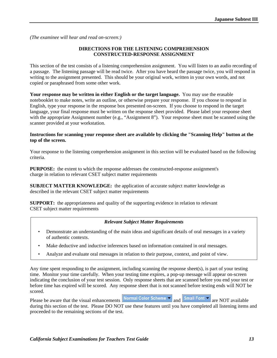## **DIRECTIONS FOR THE LISTENING COMPREHENSION CONSTRUCTED-RESPONSE ASSIGNMENT**

This section of the test consists of a listening comprehension assignment. You will listen to an audio recording of a passage. The listening passage will be read twice. After you have heard the passage twice, you will respond in writing to the assignment presented. This should be your original work, written in your own words, and not copied or paraphrased from some other work.

**Your response may be written in either English or the target language.** You may use the erasable notebooklet to make notes, write an outline, or otherwise prepare your response.If you choose to respond in English, type your response in the response box presented on-screen. If you choose to respond in the target language, your final response must be written on the response sheet provided. Please label your response sheet with the appropriate Assignment number (e.g., "Assignment 8"). Your response sheet must be scanned using the scanner provided at your workstation.

#### **Instructions for scanning your response sheet are available by clicking the "Scanning Help" button at the top of the screen.**

Your response to the listening comprehension assignment in this section will be evaluated based on the following criteria.

**PURPOSE:** the extent to which the response addresses the constructed-response assignment's charge in relation to relevant CSET subject matter requirements

**SUBJECT MATTER KNOWLEDGE:** the application of accurate subject matter knowledge as described in the relevant CSET subject matter requirements

**SUPPORT:** the appropriateness and quality of the supporting evidence in relation to relevant CSET subject matter requirements

## *Relevant Subject Matter Requirements*

- Demonstrate an understanding of the main ideas and significant details of oral messages in a variety of authentic contexts.
- Make deductive and inductive inferences based on information contained in oral messages.
- Analyze and evaluate oral messages in relation to their purpose, context, and point of view.

Any time spent responding to the assignment, including scanning the response sheet(s), is part of your testing time. Monitor your time carefully. When your testing time expires, a pop-up message will appear on-screen indicating the conclusion of your test session. Only response sheets that are scanned before you end your test or before time has expired will be scored. Any response sheet that is not scanned before testing ends will NOT be scored.

Please be aware that the visual enhancements Normal Color Scheme  $\overline{\bullet}$  and  $\overline{\bullet}$  Small Font  $\overline{\bullet}$  are NOT available during this section of the test. Please DO NOT use these features until you have completed all listening items and proceeded to the remaining sections of the test.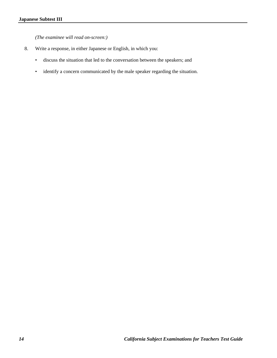*(The examinee will read on-screen:)* 

- 8. Write a response, in either Japanese or English, in which you:
	- discuss the situation that led to the conversation between the speakers; and
	- identify a concern communicated by the male speaker regarding the situation.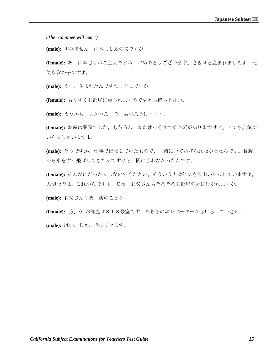*(The examinee will hear:)* 

**(male):** すみません。山本よしえの夫ですが。

**(female):** あ、山本さんのご主人ですね。おめでとうございます。さきほど産まれましたよ。元 気な女の子ですよ。

**(male):** えー、生まれたんですね!どこですか。

**(female):** もうすぐお部屋に戻られますので少々お待ち下さい。

**(male):** そうかぁ、よかった。で、妻の具合は・・・。

**(female):** お産は順調でした。もちろん、まだゆっくりする必要がありますけど、とても元気で いらっしゃいますよ。

**(male):** そうですか、仕事で出張していたもので、一緒にいてあげられなかったんです。長野 から車をすっ飛ばしてきたんですけど、間に合わなかったんです。

**(female):** そんなにがっかりしないでください。そういう方は他にも沢山いらっしゃいますよ。 大切なのは、これからですよ。じゃ、お父さんもそろそろお部屋の方に行かれますか。

**(male):** お父さん?あ、僕のことか。

**(female):** (笑い) お部屋は818号室です。あちらのエレベーターからいらして下さい。

**(male):** はい、じゃ、行ってきます。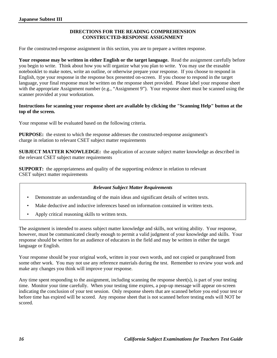## **DIRECTIONS FOR THE READING COMPREHENSION CONSTRUCTED-RESPONSE ASSIGNMENT**

For the constructed-response assignment in this section, you are to prepare a written response.

**Your response may be written in either English or the target language.** Read the assignment carefully before you begin to write. Think about how you will organize what you plan to write. You may use the erasable notebooklet to make notes, write an outline, or otherwise prepare your response.If you choose to respond in English, type your response in the response box presented on-screen. If you choose to respond in the target language, your final response must be written on the response sheet provided. Please label your response sheet with the appropriate Assignment number (e.g., "Assignment 9"). Your response sheet must be scanned using the scanner provided at your workstation.

## **Instructions for scanning your response sheet are available by clicking the "Scanning Help" button at the top of the screen.**

Your response will be evaluated based on the following criteria.

**PURPOSE:** the extent to which the response addresses the constructed-response assignment's charge in relation to relevant CSET subject matter requirements

**SUBJECT MATTER KNOWLEDGE:** the application of accurate subject matter knowledge as described in the relevant CSET subject matter requirements

**SUPPORT:** the appropriateness and quality of the supporting evidence in relation to relevant CSET subject matter requirements

## *Relevant Subject Matter Requirements*

- Demonstrate an understanding of the main ideas and significant details of written texts.
- Make deductive and inductive inferences based on information contained in written texts.
- Apply critical reasoning skills to written texts.

The assignment is intended to assess subject matter knowledge and skills, not writing ability. Your response, however, must be communicated clearly enough to permit a valid judgment of your knowledge and skills. Your response should be written for an audience of educators in the field and may be written in either the target language or English.

Your response should be your original work, written in your own words, and not copied or paraphrased from some other work. You may not use any reference materials during the test. Remember to review your work and make any changes you think will improve your response.

Any time spent responding to the assignment, including scanning the response sheet(s), is part of your testing time. Monitor your time carefully. When your testing time expires, a pop-up message will appear on-screen indicating the conclusion of your test session. Only response sheets that are scanned before you end your test or before time has expired will be scored. Any response sheet that is not scanned before testing ends will NOT be scored.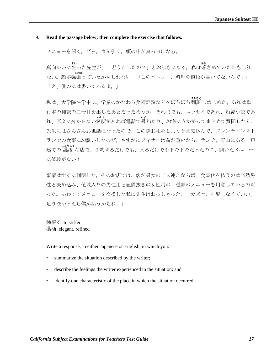## 9. **Read the passage below; then complete the exercise that follows.**

メニューを開く。ゾッ。血が引く。頭の中が真っ白になる。

真向かいに すわ 坐った先生が、「どうかしたの?」とお訊きになる。私は あお 蒼ざめていたかもしれ ない。顔が 強張っていたかもしれない。「このメニュー、料理の値段が書いてないんです」 こわば 「え、僕のには書いてあるよ。」

私は、大学院在学中に、学業のかたわら美術評論などをぼちぼち ほんやく 翻訳しはじめた。あれは単 行本の翻訳の二冊目を出したあとだったろうか。それまでも、エッセイであれ、短編小説であ れ、原文に分からない かしょ 箇所があれば電話で たず 尋ねたり、お宅にうかがってまとめて質問したり、 先生にはさんざんお世話になったので、この際お礼をしようと意気込んで、フレンチ・レスト ランでの食事にお誘いしたのだ。さすがにディナーは荷が重いから、ランチ。青山にある一戸 建ての しょうしゃ 瀟洒 な店で、予約するだけでも、入るだけでもドキドキだったのに、開いたメニュー に値段がない!

事情はすぐに判明した。そのお店では、客が男女の二人連れならば、食事代を払うのは当然男 性と決め込み、値段入りの男性用と値段抜きの女性用の二種類のメニューを用意しているのだ った。あわててメニューを交換した私に先生はおっしゃった。「カズコ、心配しなくていい、 足りなかったら僕が払うからね。

強張る to stiffen 瀟洒 elegant, refined

Write a response, in either Japanese or English, in which you:

- summarize the situation described by the writer;
- describe the feelings the writer experienced in the situation; and
- identify one characteristic of the place in which the situation occurred.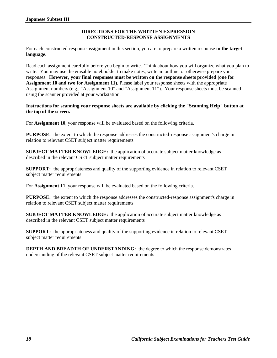## **DIRECTIONS FOR THE WRITTEN EXPRESSION CONSTRUCTED-RESPONSE ASSIGNMENTS**

For each constructed-response assignment in this section, you are to prepare a written response **in the target language**.

Read each assignment carefully before you begin to write. Think about how you will organize what you plan to write. You may use the erasable notebooklet to make notes, write an outline, or otherwise prepare your responses. **However, your final responses must be written on the response sheets provided (one for Assignment 10 and two for Assignment 11).** Please label your response sheets with the appropriate Assignment numbers (e.g., "Assignment 10" and "Assignment 11"). Your response sheets must be scanned using the scanner provided at your workstation.

**Instructions for scanning your response sheets are available by clicking the "Scanning Help" button at the top of the screen.** 

For **Assignment 10**, your response will be evaluated based on the following criteria.

**PURPOSE:** the extent to which the response addresses the constructed-response assignment's charge in relation to relevant CSET subject matter requirements

**SUBJECT MATTER KNOWLEDGE:** the application of accurate subject matter knowledge as described in the relevant CSET subject matter requirements

**SUPPORT:** the appropriateness and quality of the supporting evidence in relation to relevant CSET subject matter requirements

For **Assignment 11**, your response will be evaluated based on the following criteria.

**PURPOSE:** the extent to which the response addresses the constructed-response assignment's charge in relation to relevant CSET subject matter requirements

**SUBJECT MATTER KNOWLEDGE:** the application of accurate subject matter knowledge as described in the relevant CSET subject matter requirements

**SUPPORT:** the appropriateness and quality of the supporting evidence in relation to relevant CSET subject matter requirements

**DEPTH AND BREADTH OF UNDERSTANDING:** the degree to which the response demonstrates understanding of the relevant CSET subject matter requirements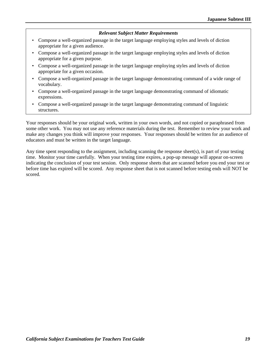#### *Relevant Subject Matter Requirements*

- Compose a well-organized passage in the target language employing styles and levels of diction appropriate for a given audience.
- Compose a well-organized passage in the target language employing styles and levels of diction appropriate for a given purpose.
- Compose a well-organized passage in the target language employing styles and levels of diction appropriate for a given occasion.
- Compose a well-organized passage in the target language demonstrating command of a wide range of vocabulary.
- Compose a well-organized passage in the target language demonstrating command of idiomatic expressions.
- Compose a well-organized passage in the target language demonstrating command of linguistic structures.

Your responses should be your original work, written in your own words, and not copied or paraphrased from some other work. You may not use any reference materials during the test. Remember to review your work and make any changes you think will improve your responses. Your responses should be written for an audience of educators and must be written in the target language.

Any time spent responding to the assignment, including scanning the response sheet(s), is part of your testing time. Monitor your time carefully. When your testing time expires, a pop-up message will appear on-screen indicating the conclusion of your test session. Only response sheets that are scanned before you end your test or before time has expired will be scored. Any response sheet that is not scanned before testing ends will NOT be scored.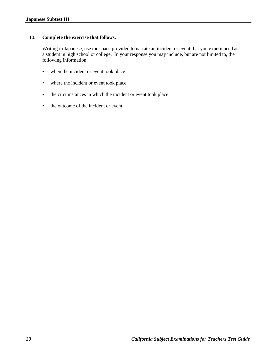## 10. **Complete the exercise that follows.**

Writing in Japanese, use the space provided to narrate an incident or event that you experienced as a student in high school or college. In your response you may include, but are not limited to, the following information.

- when the incident or event took place
- where the incident or event took place
- the circumstances in which the incident or event took place
- the outcome of the incident or event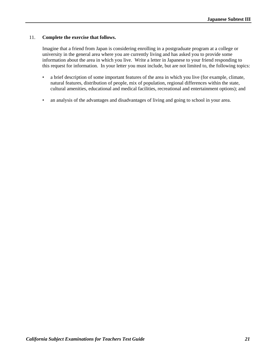## 11. **Complete the exercise that follows.**

Imagine that a friend from Japan is considering enrolling in a postgraduate program at a college or university in the general area where you are currently living and has asked you to provide some information about the area in which you live. Write a letter in Japanese to your friend responding to this request for information. In your letter you must include, but are not limited to, the following topics:

- a brief description of some important features of the area in which you live (for example, climate, natural features, distribution of people, mix of population, regional differences within the state, cultural amenities, educational and medical facilities, recreational and entertainment options); and
- an analysis of the advantages and disadvantages of living and going to school in your area.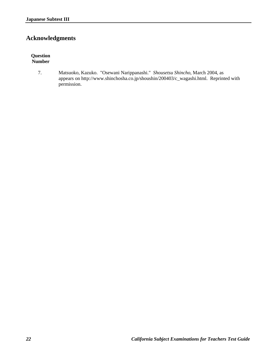## **Acknowledgments**

## **Question Number**

7. Matsuoko, Kazuko. "Osewani Narippanashi." *Shousetsu Shincho*, March 2004, as appears on http://www.shinchosha.co.jp/shoushin/200403/c\_wagashi.html. Reprinted with permission.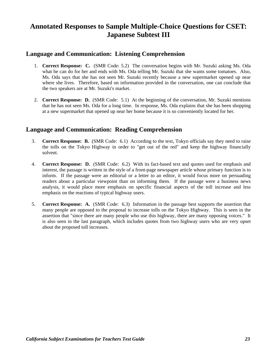## **Annotated Responses to Sample Multiple-Choice Questions for CSET: Japanese Subtest III**

## **Language and Communication: Listening Comprehension**

- 1. **Correct Response: C.** (SMR Code: 5.2) The conversation begins with Mr. Suzuki asking Ms. Oda what he can do for her and ends with Ms. Oda telling Mr. Suzuki that she wants some tomatoes. Also, Ms. Oda says that she has not seen Mr. Suzuki recently because a new supermarket opened up near where she lives. Therefore, based on information provided in the conversation, one can conclude that the two speakers are at Mr. Suzuki's market.
- 2. **Correct Response: D.** (SMR Code: 5.1) At the beginning of the conversation, Mr. Suzuki mentions that he has not seen Ms. Oda for a long time. In response, Ms. Oda explains that she has been shopping at a new supermarket that opened up near her home because it is so conveniently located for her.

## **Language and Communication: Reading Comprehension**

- 3. **Correct Response: B.** (SMR Code: 6.1) According to the text, Tokyo officials say they need to raise the tolls on the Tokyo Highway in order to "get out of the red" and keep the highway financially solvent.
- 4. **Correct Response: D.** (SMR Code: 6.2) With its fact-based text and quotes used for emphasis and interest, the passage is written in the style of a front-page newspaper article whose primary function is to inform. If the passage were an editorial or a letter to an editor, it would focus more on persuading readers about a particular viewpoint than on informing them. If the passage were a business news analysis, it would place more emphasis on specific financial aspects of the toll increase and less emphasis on the reactions of typical highway users.
- 5. **Correct Response: A.** (SMR Code: 6.3) Information in the passage best supports the assertion that many people are opposed to the proposal to increase tolls on the Tokyo Highway. This is seen in the assertion that "since there are many people who use this highway, there are many opposing voices." It is also seen in the last paragraph, which includes quotes from two highway users who are very upset about the proposed toll increases.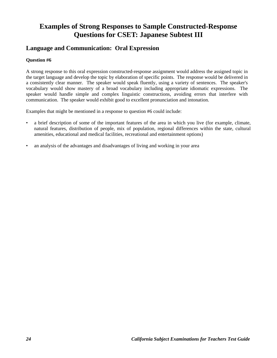## **Examples of Strong Responses to Sample Constructed-Response Questions for CSET: Japanese Subtest III**

## **Language and Communication: Oral Expression**

## **Question #6**

A strong response to this oral expression constructed-response assignment would address the assigned topic in the target language and develop the topic by elaboration of specific points. The response would be delivered in a consistently clear manner. The speaker would speak fluently, using a variety of sentences. The speaker's vocabulary would show mastery of a broad vocabulary including appropriate idiomatic expressions. The speaker would handle simple and complex linguistic constructions, avoiding errors that interfere with communication. The speaker would exhibit good to excellent pronunciation and intonation.

Examples that might be mentioned in a response to question #6 could include:

- a brief description of some of the important features of the area in which you live (for example, climate, natural features, distribution of people, mix of population, regional differences within the state, cultural amenities, educational and medical facilities, recreational and entertainment options)
- an analysis of the advantages and disadvantages of living and working in your area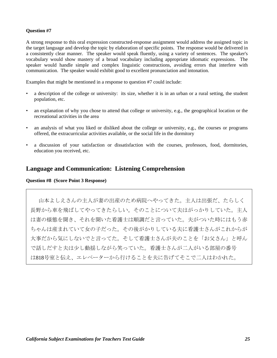## **Question #7**

A strong response to this oral expression constructed-response assignment would address the assigned topic in the target language and develop the topic by elaboration of specific points. The response would be delivered in a consistently clear manner. The speaker would speak fluently, using a variety of sentences. The speaker's vocabulary would show mastery of a broad vocabulary including appropriate idiomatic expressions. The speaker would handle simple and complex linguistic constructions, avoiding errors that interfere with communication. The speaker would exhibit good to excellent pronunciation and intonation.

Examples that might be mentioned in a response to question #7 could include:

- a description of the college or university: its size, whether it is in an urban or a rural setting, the student population, etc.
- an explanation of why you chose to attend that college or university, e.g., the geographical location or the recreational activities in the area
- an analysis of what you liked or disliked about the college or university, e.g., the courses or programs offered, the extracurricular activities available, or the social life in the dormitory
- a discussion of your satisfaction or dissatisfaction with the courses, professors, food, dormitories, education you received, etc.

## **Language and Communication: Listening Comprehension**

#### **Question #8 (Score Point 3 Response)**

山本よしえさんの主人が妻の出産のため病院へやってきた。主人は出張だ、たらしく 長野から車を飛ばしてやってきたらしい。そのことについて夫はがっかりしていた。主人 は妻の様態を聞き、それを聞いた看護士は順調だと言っていた。夫がついた時にはもう赤 ちゃんは産まれていて女の子だった。その後がかりしている夫に看護士さんがこれからが 大事だから気にしないでと言ってた。そして看護士さんが夫のことを「お父さん」と呼ん で話しだすと夫は少し動揺しながら笑っていた。看護士さんが二人がいる部屋の番号 は818号室と伝え、エレベーターから行けることを夫に告げてそこで二人はわかれた。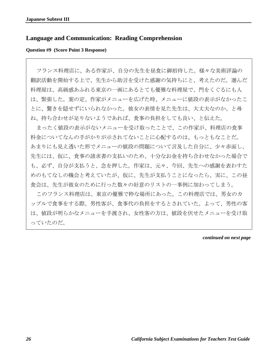## **Language and Communication: Reading Comprehension**

## **Question #9 (Score Point 3 Response)**

フランス料理店に、ある作家が、自分の先生を昼食に御招待した。様々な美術評論の 翻訳活動を開始する上で、先生から助言を受けた感謝の気持ちにと、考えたのだ。選んだ 料理屋は、高級感あふれる東京の一画にあるとても優雅な料理屋で、門をくぐるにも人 は、緊張した。案の定、作家がメニューを広げた時、メニューに値段の表示がなかったこ とに、驚きを隠せずにいられなかった。彼女の表情を見た先生は、大丈夫なのか、と尋 ね、持ち合わせが足りないようであれば、食事の負担をしても良い、と伝えた。

まったく値段の表示がないメニューを受け取ったことで、この作家が、料理店の食事 料金についてなんの手がかりが示されてないことに心配するのは、もっともなことだ。 あまりにも見え透いた形でメニューの値段の問題について言及した自分に、少々赤面し、 先生には、仮に、食事の請求書の支払いのため、十分なお金を持ち合わせなかった場合で も、必ず、自分が支払うと、念を押した。作家は、元々、今回、先生への感謝を表わすた めのもてなしの機会と考えていたが、仮に、先生が支払うことになったら、実に、この昼 食会は、先生が彼女のために行った数々の好意のリストの一事例に加わってしまう。

このフランス料理店は、東京の優雅で粋な場所にあった。この料理店では、男女のカ ップルで食事をする際、男性客が、食事代の負担をするとされていた。よって、男性の客 は、値段が明らかなメニューを手渡され、女性客の方は、値段を伏せたメニューを受け取 っていたのだ。

*continued on next page*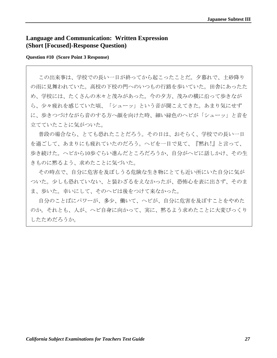## **Language and Communication: Written Expression (Short [Focused]-Response Question)**

## **Question #10 (Score Point 3 Response)**

この出来事は、学校での長い一日が終ってから起こったことだ。夕暮れで、土砂降り の雨に見舞われていた。高校の下校の門へのいつもの行路を歩いていた。田舎にあったた め、学校には、たくさんの木々と茂みがあった。今の夕方、茂みの横に沿って歩きなが ら、少々疲れを感じていた頃、「シューッ」という音が聞こえてきた。あまり気にせず に、歩きつづけながら音のする方へ顔を向けた時、細い緑色のヘビが「シューッ」と音を 立てていたことに気がついた。

普段の場合なら、とても恐れたことだろう。その日は、おそらく、学校での長い一日 を過ごして、あまりにも疲れていたのだろう。ヘビを一目で見て、『黙れ!』と言って、 歩き続けた。ヘビから10歩ぐらい進んだところだろうか、自分がヘビに話しかけ、その生 きものに黙るよう、求めたことに気づいた。

その時点で、自分に危害を及ぼしうる危険な生き物にとても近い所にいた自分に気が ついた。少しも恐れていない、と装わざるをえなかったが、恐怖心を表に出さず、そのま ま、歩いた。幸いにして、そのヘビは後をつけて来なかった。

自分のことばにパワーが、多少、働いて、ヘビが、自分に危害を及ぼすことをやめた のか。それとも、人が、ヘビ自身に向かって、実に、黙るよう求めたことに大変びっくり したためだろうか。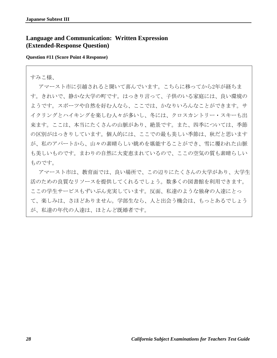## **Language and Communication: Written Expression (Extended-Response Question)**

## **Question #11 (Score Point 4 Response)**

## すみこ様、

アマースト市に引越されると聞いて喜んでいます。こちらに移ってから2年が経ちま す。きれいで、静かな大学の町です。はっきり言って、子供のいる家庭には、良い環境の ようです。スポーツや自然を好む人なら、ここでは、かなりいろんなことができます。サ イクリングとハイキングを楽しむ人々が多いし、冬には、クロスカントリー・スキーも出 来ます。ここは、本当にたくさんの山脈があり、絶景です。また、四季については、季節 の区別がはっきりしています。個人的には、ここでの最も美しい季節は、秋だと思います が、私のアパートから、山々の素晴らしい眺めを堪能することができ、雪に覆われた山脈 も美しいものです。まわりの自然に大変恵まれているので、ここの空気の質も素晴らしい ものです。

アマースト市は、教育面では、良い場所で、この辺りにたくさんの大学があり、大学生 活のための良質なリソースを提供してくれるでしょう。数多くの図書館を利用できます。 ここの学生サービスもずいぶん充実しています。反面、私達のような独身の人達にとっ て、楽しみは、さほどありません。学部生なら、人と出会う機会は、もっとあるでしょう が、私達の年代の人達は、ほとんど既婚者です。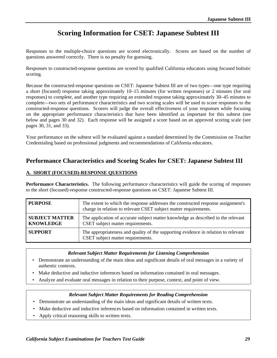## **Scoring Information for CSET: Japanese Subtest III**

Responses to the multiple-choice questions are scored electronically. Scores are based on the number of questions answered correctly. There is no penalty for guessing.

Responses to constructed-response questions are scored by qualified California educators using focused holistic scoring.

Because the constructed-response questions on CSET: Japanese Subtest III are of two types—one type requiring a short (focused) response taking approximately 10–15 minutes (for written responses) or 2 minutes (for oral responses) to complete, and another type requiring an extended response taking approximately 30–45 minutes to complete—two sets of performance characteristics and two scoring scales will be used to score responses to the constructed-response questions. Scorers will judge the overall effectiveness of your responses while focusing on the appropriate performance characteristics that have been identified as important for this subtest (see below and pages 30 and 32). Each response will be assigned a score based on an approved scoring scale (see pages 30, 31, and 33).

Your performance on the subtest will be evaluated against a standard determined by the Commission on Teacher Credentialing based on professional judgments and recommendations of California educators.

## **Performance Characteristics and Scoring Scales for CSET: Japanese Subtest III**

## **A. SHORT (FOCUSED)-RESPONSE QUESTIONS**

**Performance Characteristics.** The following performance characteristics will guide the scoring of responses to the short (focused)-response constructed-response questions on CSET: Japanese Subtest III.

| <b>PURPOSE</b>                            | The extent to which the response addresses the constructed response assignment's<br>charge in relation to relevant CSET subject matter requirements. |
|-------------------------------------------|------------------------------------------------------------------------------------------------------------------------------------------------------|
| <b>SUBJECT MATTER</b><br><b>KNOWLEDGE</b> | The application of accurate subject matter knowledge as described in the relevant<br>CSET subject matter requirements.                               |
| <b>SUPPORT</b>                            | The appropriateness and quality of the supporting evidence in relation to relevant<br>CSET subject matter requirements.                              |

## *Relevant Subject Matter Requirements for Listening Comprehension*

- Demonstrate an understanding of the main ideas and significant details of oral messages in a variety of authentic contexts.
- Make deductive and inductive inferences based on information contained in oral messages.
- Analyze and evaluate oral messages in relation to their purpose, context, and point of view.

## *Relevant Subject Matter Requirements for Reading Comprehension*

- Demonstrate an understanding of the main ideas and significant details of written texts.
- Make deductive and inductive inferences based on information contained in written texts.
- Apply critical reasoning skills to written texts.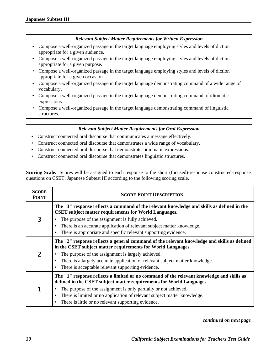## *Relevant Subject Matter Requirements for Written Expression*

- Compose a well-organized passage in the target language employing styles and levels of diction appropriate for a given audience.
- Compose a well-organized passage in the target language employing styles and levels of diction appropriate for a given purpose.
- Compose a well-organized passage in the target language employing styles and levels of diction appropriate for a given occasion.
- Compose a well-organized passage in the target language demonstrating command of a wide range of vocabulary.
- Compose a well-organized passage in the target language demonstrating command of idiomatic expressions.
- Compose a well-organized passage in the target language demonstrating command of linguistic structures.

## *Relevant Subject Matter Requirements for Oral Expression*

- Construct connected oral discourse that communicates a message effectively.
- Construct connected oral discourse that demonstrates a wide range of vocabulary.
- Construct connected oral discourse that demonstrates idiomatic expressions.
- Construct connected oral discourse that demonstrates linguistic structures.

**Scoring Scale.** Scores will be assigned to each response to the short (focused)-response constructed-response questions on CSET: Japanese Subtest III according to the following scoring scale.

| <b>SCORE</b><br><b>POINT</b> | <b>SCORE POINT DESCRIPTION</b>                                                                                                                                                                                                                                                                                                                                                             |  |
|------------------------------|--------------------------------------------------------------------------------------------------------------------------------------------------------------------------------------------------------------------------------------------------------------------------------------------------------------------------------------------------------------------------------------------|--|
|                              | The "3" response reflects a command of the relevant knowledge and skills as defined in the<br><b>CSET</b> subject matter requirements for World Languages.                                                                                                                                                                                                                                 |  |
| 3                            | The purpose of the assignment is fully achieved.                                                                                                                                                                                                                                                                                                                                           |  |
|                              | There is an accurate application of relevant subject matter knowledge.<br>$\bullet$                                                                                                                                                                                                                                                                                                        |  |
|                              | There is appropriate and specific relevant supporting evidence.<br>٠                                                                                                                                                                                                                                                                                                                       |  |
| 2                            | The "2" response reflects a general command of the relevant knowledge and skills as defined<br>in the CSET subject matter requirements for World Languages.<br>The purpose of the assignment is largely achieved.<br>There is a largely accurate application of relevant subject matter knowledge.<br>There is acceptable relevant supporting evidence.                                    |  |
|                              | The "1" response reflects a limited or no command of the relevant knowledge and skills as<br>defined in the CSET subject matter requirements for World Languages.<br>The purpose of the assignment is only partially or not achieved.<br>There is limited or no application of relevant subject matter knowledge.<br>٠<br>There is little or no relevant supporting evidence.<br>$\bullet$ |  |

#### *continued on next page*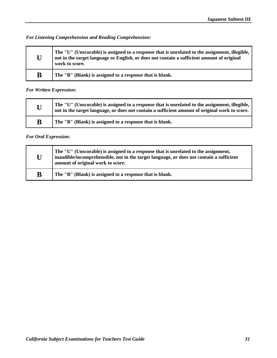*For Listening Comprehension and Reading Comprehension:* 

| U | The "U" (Unscorable) is assigned to a response that is unrelated to the assignment, illegible,<br>not in the target language or English, or does not contain a sufficient amount of original<br>work to score. |
|---|----------------------------------------------------------------------------------------------------------------------------------------------------------------------------------------------------------------|
| B | The "B" (Blank) is assigned to a response that is blank.                                                                                                                                                       |

## *For Written Expression:*

| U | The "U" (Unscorable) is assigned to a response that is unrelated to the assignment, illegible,<br>not in the target language, or does not contain a sufficient amount of original work to score. |
|---|--------------------------------------------------------------------------------------------------------------------------------------------------------------------------------------------------|
| B | The "B" (Blank) is assigned to a response that is blank.                                                                                                                                         |

## *For Oral Expression:*

| U | The "U" (Unscorable) is assigned to a response that is unrelated to the assignment,<br>inaudible/incomprehensible, not in the target language, or does not contain a sufficient<br>amount of original work to score. |
|---|----------------------------------------------------------------------------------------------------------------------------------------------------------------------------------------------------------------------|
| B | The "B" (Blank) is assigned to a response that is blank.                                                                                                                                                             |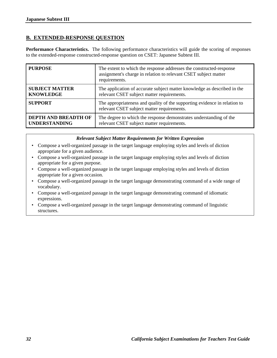## **B. EXTENDED-RESPONSE QUESTION**

**Performance Characteristics.** The following performance characteristics will guide the scoring of responses to the extended-response constructed-response question on CSET: Japanese Subtest III.

| <b>PURPOSE</b>        | The extent to which the response addresses the constructed-response<br>assignment's charge in relation to relevant CSET subject matter<br>requirements. |
|-----------------------|---------------------------------------------------------------------------------------------------------------------------------------------------------|
| <b>SUBJECT MATTER</b> | The application of accurate subject matter knowledge as described in the                                                                                |
| <b>KNOWLEDGE</b>      | relevant CSET subject matter requirements.                                                                                                              |
| <b>SUPPORT</b>        | The appropriateness and quality of the supporting evidence in relation to<br>relevant CSET subject matter requirements.                                 |
| DEPTH AND BREADTH OF  | The degree to which the response demonstrates understanding of the                                                                                      |
| <b>UNDERSTANDING</b>  | relevant CSET subject matter requirements.                                                                                                              |

## *Relevant Subject Matter Requirements for Written Expression*

- Compose a well-organized passage in the target language employing styles and levels of diction appropriate for a given audience.
- Compose a well-organized passage in the target language employing styles and levels of diction appropriate for a given purpose.
- Compose a well-organized passage in the target language employing styles and levels of diction appropriate for a given occasion.
- Compose a well-organized passage in the target language demonstrating command of a wide range of vocabulary.
- Compose a well-organized passage in the target language demonstrating command of idiomatic expressions.
- Compose a well-organized passage in the target language demonstrating command of linguistic structures.